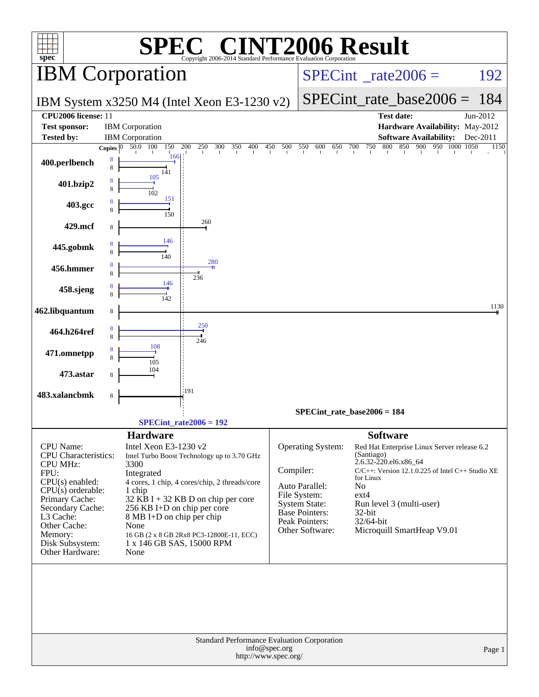| spec <sup>®</sup>                                           |                       |                                                          | $\mathbb{C}^{\scriptscriptstyle \otimes}$ CINT2006 Result<br>Copyright 2006-2014 Standard Performance Evaluation Corporation |                                          |                                      |                                                        |                                                        |                  |
|-------------------------------------------------------------|-----------------------|----------------------------------------------------------|------------------------------------------------------------------------------------------------------------------------------|------------------------------------------|--------------------------------------|--------------------------------------------------------|--------------------------------------------------------|------------------|
| <b>IBM</b> Corporation                                      |                       |                                                          |                                                                                                                              | $SPECint^{\circ}$ <sub>_rate2006</sub> = |                                      |                                                        | 192                                                    |                  |
|                                                             |                       |                                                          | IBM System x3250 M4 (Intel Xeon E3-1230 v2)                                                                                  |                                          |                                      | $SPECint_rate\_base2006 = 184$                         |                                                        |                  |
| CPU2006 license: 11                                         |                       |                                                          |                                                                                                                              |                                          |                                      |                                                        | <b>Test date:</b>                                      | Jun-2012         |
| <b>Test sponsor:</b>                                        |                       | <b>IBM</b> Corporation                                   |                                                                                                                              |                                          |                                      |                                                        | Hardware Availability: May-2012                        |                  |
| <b>Tested by:</b>                                           | Copies $\overline{0}$ | <b>IBM</b> Corporation<br>50.0 100<br>150 200            | 300<br>350<br>400<br>250                                                                                                     | 450 500                                  | 550<br>600<br>650                    | 750 800<br>700                                         | <b>Software Availability:</b><br>850 900 950 1000 1050 | Dec-2011<br>1150 |
| 400.perlbench                                               | 8<br>8                | 166<br>141                                               |                                                                                                                              |                                          |                                      |                                                        |                                                        |                  |
| 401.bzip2                                                   | 8<br>8                | 105<br>102                                               |                                                                                                                              |                                          |                                      |                                                        |                                                        |                  |
| 403.gcc                                                     | 8                     | 151<br>150                                               |                                                                                                                              |                                          |                                      |                                                        |                                                        |                  |
| 429.mcf                                                     | 8                     |                                                          | 260                                                                                                                          |                                          |                                      |                                                        |                                                        |                  |
| 445.gobmk                                                   | 8<br>8                | 146<br>140                                               |                                                                                                                              |                                          |                                      |                                                        |                                                        |                  |
| 456.hmmer                                                   | 8<br>8                |                                                          | 280<br>236                                                                                                                   |                                          |                                      |                                                        |                                                        |                  |
| 458.sjeng                                                   | 8<br>8                | 146<br>142                                               |                                                                                                                              |                                          |                                      |                                                        |                                                        |                  |
| 462.libquantum                                              | 8                     |                                                          | 250                                                                                                                          |                                          |                                      |                                                        |                                                        | 1130             |
| 464.h264ref                                                 | 8<br>8                | 108                                                      | 246                                                                                                                          |                                          |                                      |                                                        |                                                        |                  |
| 471.omnetpp                                                 | 8                     | 105                                                      |                                                                                                                              |                                          |                                      |                                                        |                                                        |                  |
| 473.astar                                                   | 8                     | 104                                                      | 191                                                                                                                          |                                          |                                      |                                                        |                                                        |                  |
| 483.xalancbmk                                               | 8                     |                                                          |                                                                                                                              |                                          |                                      |                                                        |                                                        |                  |
|                                                             |                       |                                                          |                                                                                                                              |                                          | $SPECint_rate_base2006 = 184$        |                                                        |                                                        |                  |
|                                                             |                       |                                                          | $SPECint_rate2006 = 192$                                                                                                     |                                          |                                      |                                                        |                                                        |                  |
| CPU Name:<br><b>CPU</b> Characteristics:<br><b>CPU MHz:</b> |                       | <b>Hardware</b><br>Intel Xeon E3-1230 v2<br>3300         | Intel Turbo Boost Technology up to 3.70 GHz                                                                                  |                                          | Operating System:                    | <b>Software</b><br>(Santiago)<br>2.6.32-220.el6.x86_64 | Red Hat Enterprise Linux Server release 6.2            |                  |
| FPU:                                                        |                       | Integrated                                               |                                                                                                                              | Compiler:                                |                                      | for Linux                                              | $C/C++$ : Version 12.1.0.225 of Intel $C++$ Studio XE  |                  |
| $CPU(s)$ enabled:<br>$CPU(s)$ orderable:                    |                       | 1 chip                                                   | 4 cores, 1 chip, 4 cores/chip, 2 threads/core                                                                                |                                          | Auto Parallel:                       | No                                                     |                                                        |                  |
| Primary Cache:                                              |                       |                                                          | $32$ KB I + 32 KB D on chip per core                                                                                         |                                          | File System:<br><b>System State:</b> | $ext{4}$                                               | Run level 3 (multi-user)                               |                  |
| Secondary Cache:<br>L3 Cache:                               |                       | 256 KB I+D on chip per core<br>8 MB I+D on chip per chip |                                                                                                                              |                                          | Base Pointers:<br>Peak Pointers:     | 32-bit<br>32/64-bit                                    |                                                        |                  |
| Other Cache:<br>Memory:                                     |                       | None                                                     | 16 GB (2 x 8 GB 2Rx8 PC3-12800E-11, ECC)                                                                                     |                                          | Other Software:                      |                                                        | Microquill SmartHeap V9.01                             |                  |
| Disk Subsystem:<br>Other Hardware:                          |                       | 1 x 146 GB SAS, 15000 RPM<br>None                        |                                                                                                                              |                                          |                                      |                                                        |                                                        |                  |
|                                                             |                       |                                                          |                                                                                                                              |                                          |                                      |                                                        |                                                        |                  |
|                                                             |                       |                                                          |                                                                                                                              |                                          |                                      |                                                        |                                                        |                  |
|                                                             |                       |                                                          |                                                                                                                              |                                          |                                      |                                                        |                                                        |                  |
|                                                             |                       |                                                          | Standard Performance Evaluation Corporation<br>http://www.spec.org/                                                          | info@spec.org                            |                                      |                                                        |                                                        | Page 1           |
|                                                             |                       |                                                          |                                                                                                                              |                                          |                                      |                                                        |                                                        |                  |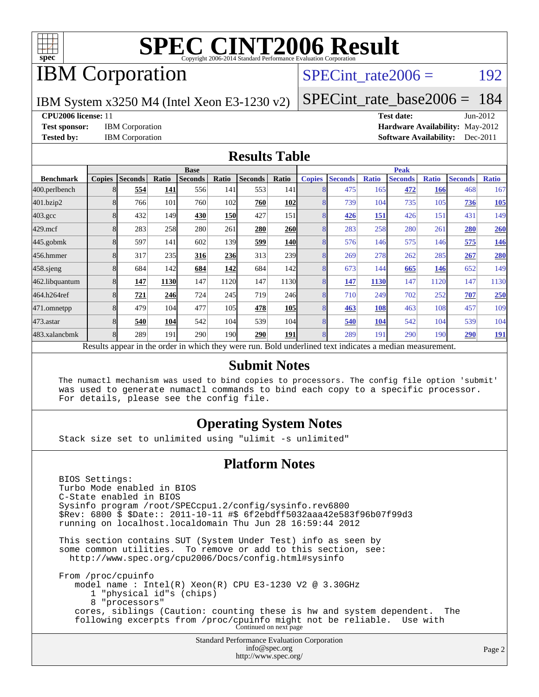

## IBM Corporation

### SPECint rate $2006 = 192$

IBM System x3250 M4 (Intel Xeon E3-1230 v2)

[SPECint\\_rate\\_base2006 =](http://www.spec.org/auto/cpu2006/Docs/result-fields.html#SPECintratebase2006) 184

**[CPU2006 license:](http://www.spec.org/auto/cpu2006/Docs/result-fields.html#CPU2006license)** 11 **[Test date:](http://www.spec.org/auto/cpu2006/Docs/result-fields.html#Testdate)** Jun-2012 **[Test sponsor:](http://www.spec.org/auto/cpu2006/Docs/result-fields.html#Testsponsor)** IBM Corporation **[Hardware Availability:](http://www.spec.org/auto/cpu2006/Docs/result-fields.html#HardwareAvailability)** May-2012 **[Tested by:](http://www.spec.org/auto/cpu2006/Docs/result-fields.html#Testedby)** IBM Corporation **[Software Availability:](http://www.spec.org/auto/cpu2006/Docs/result-fields.html#SoftwareAvailability)** Dec-2011

### **[Results Table](http://www.spec.org/auto/cpu2006/Docs/result-fields.html#ResultsTable)**

|                                                                                                          | <b>Base</b>   |                |       |                |                  |                |            | <b>Peak</b>   |                |              |                |              |                |              |
|----------------------------------------------------------------------------------------------------------|---------------|----------------|-------|----------------|------------------|----------------|------------|---------------|----------------|--------------|----------------|--------------|----------------|--------------|
| <b>Benchmark</b>                                                                                         | <b>Copies</b> | <b>Seconds</b> | Ratio | <b>Seconds</b> | Ratio            | <b>Seconds</b> | Ratio      | <b>Copies</b> | <b>Seconds</b> | <b>Ratio</b> | <b>Seconds</b> | <b>Ratio</b> | <b>Seconds</b> | <b>Ratio</b> |
| 400.perlbench                                                                                            | 8             | 554            | 141   | 556            | 141              | 553            | <b>141</b> | 8             | 475            | 165          | 472            | 166          | 468            | 167          |
| 401.bzip2                                                                                                | 8             | 766            | 101   | 760            | 102              | 760            | 102        | 8             | 739            | 104          | 735            | 105          | 736            | <b>105</b>   |
| $403.\mathrm{gcc}$                                                                                       | 8             | 432            | 149   | 430            | 150              | 427            | 151        | 8             | 426            | 151          | 426            | 151          | 431            | 149          |
| $429$ .mcf                                                                                               |               | 283            | 258   | 280            | 261              | 280            | <b>260</b> |               | 283            | 258          | 280            | 261          | 280            | <b>260</b>   |
| $445$ .gobm $k$                                                                                          | 8             | 597            | 141   | 602            | 139              | 599            | <b>140</b> | 8             | 576            | 146          | 575            | 146          | 575            | <u>146</u>   |
| 456.hmmer                                                                                                | 8             | 317            | 235   | 316            | 236              | 313            | 239        | 8             | 269            | 278          | 262            | 285          | 267            | 280          |
| $458$ .sjeng                                                                                             |               | 684            | 142   | 684            | 142              | 684            | 142l       | 8             | 673            | 144          | 665            | 146          | 652            | 149          |
| 462.libquantum                                                                                           | 8             | 147            | 1130  | 147            | 1120             | 147            | 1130       | 8             | 147            | 1130         | 147            | 1120         | 147            | 1130         |
| 464.h264ref                                                                                              | 8             | 721            | 246   | 724            | 245              | 719            | 246        | 8             | 710            | 249          | 702            | 252          | 707            | 250          |
| 471.omnetpp                                                                                              |               | 479            | 104   | 477            | 105              | 478            | <b>105</b> |               | 463            | 108          | 463            | 108          | 457            | 109          |
| 473.astar                                                                                                |               | 540            | 104   | 542            | 104              | 539            | 104        | 8             | 540            | 104          | 542            | 104          | 539            | 104          |
| 483.xalancbmk                                                                                            | 8             | 289            | 191   | 290            | 190 <sup>1</sup> | 290            | 191        | 8             | 289            | 191          | 290            | 190          | 290            | <u>191</u>   |
| Results appear in the order in which they were run. Bold underlined text indicates a median measurement. |               |                |       |                |                  |                |            |               |                |              |                |              |                |              |

### **[Submit Notes](http://www.spec.org/auto/cpu2006/Docs/result-fields.html#SubmitNotes)**

 The numactl mechanism was used to bind copies to processors. The config file option 'submit' was used to generate numactl commands to bind each copy to a specific processor. For details, please see the config file.

### **[Operating System Notes](http://www.spec.org/auto/cpu2006/Docs/result-fields.html#OperatingSystemNotes)**

Stack size set to unlimited using "ulimit -s unlimited"

### **[Platform Notes](http://www.spec.org/auto/cpu2006/Docs/result-fields.html#PlatformNotes)**

Standard Performance Evaluation Corporation [info@spec.org](mailto:info@spec.org) BIOS Settings: Turbo Mode enabled in BIOS C-State enabled in BIOS Sysinfo program /root/SPECcpu1.2/config/sysinfo.rev6800 \$Rev: 6800 \$ \$Date:: 2011-10-11 #\$ 6f2ebdff5032aaa42e583f96b07f99d3 running on localhost.localdomain Thu Jun 28 16:59:44 2012 This section contains SUT (System Under Test) info as seen by some common utilities. To remove or add to this section, see: <http://www.spec.org/cpu2006/Docs/config.html#sysinfo> From /proc/cpuinfo model name : Intel(R) Xeon(R) CPU E3-1230 V2 @ 3.30GHz 1 "physical id"s (chips) 8 "processors" cores, siblings (Caution: counting these is hw and system dependent. The following excerpts from /proc/cpuinfo might not be reliable. Use with Continued on next page

<http://www.spec.org/>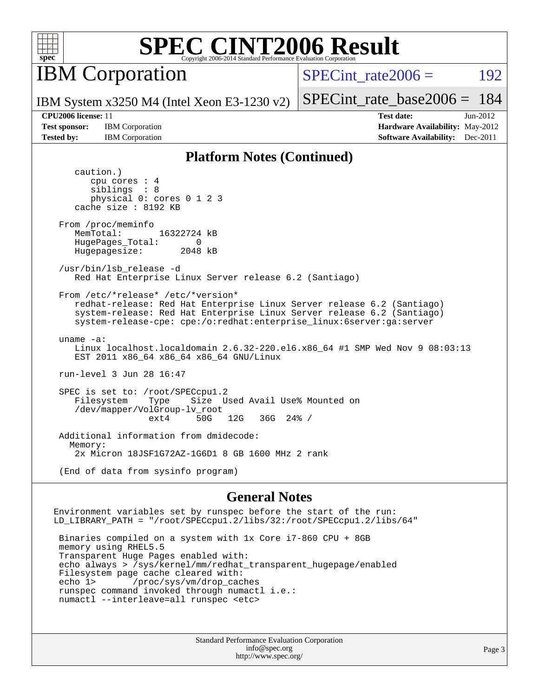

**IBM** Corporation

SPECint rate $2006 = 192$ 

IBM System x3250 M4 (Intel Xeon E3-1230 v2)

[SPECint\\_rate\\_base2006 =](http://www.spec.org/auto/cpu2006/Docs/result-fields.html#SPECintratebase2006) 184

**[Test sponsor:](http://www.spec.org/auto/cpu2006/Docs/result-fields.html#Testsponsor)** IBM Corporation **[Hardware Availability:](http://www.spec.org/auto/cpu2006/Docs/result-fields.html#HardwareAvailability)** May-2012

**[CPU2006 license:](http://www.spec.org/auto/cpu2006/Docs/result-fields.html#CPU2006license)** 11 **[Test date:](http://www.spec.org/auto/cpu2006/Docs/result-fields.html#Testdate)** Jun-2012 **[Tested by:](http://www.spec.org/auto/cpu2006/Docs/result-fields.html#Testedby)** IBM Corporation **[Software Availability:](http://www.spec.org/auto/cpu2006/Docs/result-fields.html#SoftwareAvailability)** Dec-2011

### **[Platform Notes \(Continued\)](http://www.spec.org/auto/cpu2006/Docs/result-fields.html#PlatformNotes)**

 caution.) cpu cores : 4 siblings : 8 physical 0: cores 0 1 2 3 cache size : 8192 KB From /proc/meminfo MemTotal: 16322724 kB HugePages\_Total: 0<br>Hugepagesize: 2048 kB Hugepagesize: /usr/bin/lsb\_release -d Red Hat Enterprise Linux Server release 6.2 (Santiago) From /etc/\*release\* /etc/\*version\* redhat-release: Red Hat Enterprise Linux Server release 6.2 (Santiago) system-release: Red Hat Enterprise Linux Server release 6.2 (Santiago) system-release-cpe: cpe:/o:redhat:enterprise\_linux:6server:ga:server uname -a: Linux localhost.localdomain 2.6.32-220.el6.x86\_64 #1 SMP Wed Nov 9 08:03:13 EST 2011 x86\_64 x86\_64 x86\_64 GNU/Linux run-level 3 Jun 28 16:47 SPEC is set to: /root/SPECcpu1.2 Filesystem Type Size Used Avail Use% Mounted on /dev/mapper/VolGroup-lv\_root 12G 36G 24% / Additional information from dmidecode: Memory: 2x Micron 18JSF1G72AZ-1G6D1 8 GB 1600 MHz 2 rank (End of data from sysinfo program)

### **[General Notes](http://www.spec.org/auto/cpu2006/Docs/result-fields.html#GeneralNotes)**

Environment variables set by runspec before the start of the run: LD\_LIBRARY\_PATH = "/root/SPECcpu1.2/libs/32:/root/SPECcpu1.2/libs/64"

 Binaries compiled on a system with 1x Core i7-860 CPU + 8GB memory using RHEL5.5 Transparent Huge Pages enabled with: echo always > /sys/kernel/mm/redhat\_transparent\_hugepage/enabled Filesystem page cache cleared with: echo 1> /proc/sys/vm/drop\_caches runspec command invoked through numactl i.e.: numactl --interleave=all runspec <etc>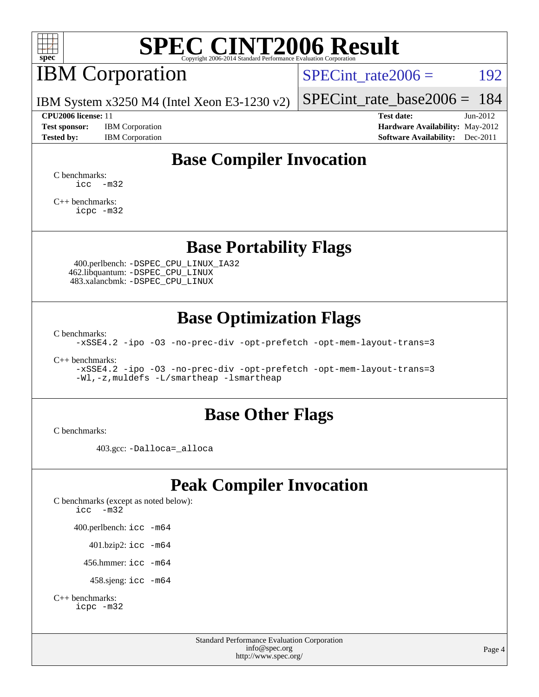

# IBM Corporation

SPECint rate $2006 = 192$ 

IBM System x3250 M4 (Intel Xeon E3-1230 v2)

**[Test sponsor:](http://www.spec.org/auto/cpu2006/Docs/result-fields.html#Testsponsor)** IBM Corporation **[Hardware Availability:](http://www.spec.org/auto/cpu2006/Docs/result-fields.html#HardwareAvailability)** May-2012

[SPECint\\_rate\\_base2006 =](http://www.spec.org/auto/cpu2006/Docs/result-fields.html#SPECintratebase2006) 184 **[CPU2006 license:](http://www.spec.org/auto/cpu2006/Docs/result-fields.html#CPU2006license)** 11 **[Test date:](http://www.spec.org/auto/cpu2006/Docs/result-fields.html#Testdate)** Jun-2012

**[Tested by:](http://www.spec.org/auto/cpu2006/Docs/result-fields.html#Testedby)** IBM Corporation **[Software Availability:](http://www.spec.org/auto/cpu2006/Docs/result-fields.html#SoftwareAvailability)** Dec-2011

## **[Base Compiler Invocation](http://www.spec.org/auto/cpu2006/Docs/result-fields.html#BaseCompilerInvocation)**

[C benchmarks](http://www.spec.org/auto/cpu2006/Docs/result-fields.html#Cbenchmarks):  $\text{icc}$   $-\text{m32}$ 

[C++ benchmarks:](http://www.spec.org/auto/cpu2006/Docs/result-fields.html#CXXbenchmarks) [icpc -m32](http://www.spec.org/cpu2006/results/res2012q3/cpu2006-20120702-23321.flags.html#user_CXXbase_intel_icpc_4e5a5ef1a53fd332b3c49e69c3330699)

### **[Base Portability Flags](http://www.spec.org/auto/cpu2006/Docs/result-fields.html#BasePortabilityFlags)**

 400.perlbench: [-DSPEC\\_CPU\\_LINUX\\_IA32](http://www.spec.org/cpu2006/results/res2012q3/cpu2006-20120702-23321.flags.html#b400.perlbench_baseCPORTABILITY_DSPEC_CPU_LINUX_IA32) 462.libquantum: [-DSPEC\\_CPU\\_LINUX](http://www.spec.org/cpu2006/results/res2012q3/cpu2006-20120702-23321.flags.html#b462.libquantum_baseCPORTABILITY_DSPEC_CPU_LINUX) 483.xalancbmk: [-DSPEC\\_CPU\\_LINUX](http://www.spec.org/cpu2006/results/res2012q3/cpu2006-20120702-23321.flags.html#b483.xalancbmk_baseCXXPORTABILITY_DSPEC_CPU_LINUX)

### **[Base Optimization Flags](http://www.spec.org/auto/cpu2006/Docs/result-fields.html#BaseOptimizationFlags)**

[C benchmarks](http://www.spec.org/auto/cpu2006/Docs/result-fields.html#Cbenchmarks):

[-xSSE4.2](http://www.spec.org/cpu2006/results/res2012q3/cpu2006-20120702-23321.flags.html#user_CCbase_f-xSSE42_f91528193cf0b216347adb8b939d4107) [-ipo](http://www.spec.org/cpu2006/results/res2012q3/cpu2006-20120702-23321.flags.html#user_CCbase_f-ipo) [-O3](http://www.spec.org/cpu2006/results/res2012q3/cpu2006-20120702-23321.flags.html#user_CCbase_f-O3) [-no-prec-div](http://www.spec.org/cpu2006/results/res2012q3/cpu2006-20120702-23321.flags.html#user_CCbase_f-no-prec-div) [-opt-prefetch](http://www.spec.org/cpu2006/results/res2012q3/cpu2006-20120702-23321.flags.html#user_CCbase_f-opt-prefetch) [-opt-mem-layout-trans=3](http://www.spec.org/cpu2006/results/res2012q3/cpu2006-20120702-23321.flags.html#user_CCbase_f-opt-mem-layout-trans_a7b82ad4bd7abf52556d4961a2ae94d5)

[C++ benchmarks:](http://www.spec.org/auto/cpu2006/Docs/result-fields.html#CXXbenchmarks)

[-xSSE4.2](http://www.spec.org/cpu2006/results/res2012q3/cpu2006-20120702-23321.flags.html#user_CXXbase_f-xSSE42_f91528193cf0b216347adb8b939d4107) [-ipo](http://www.spec.org/cpu2006/results/res2012q3/cpu2006-20120702-23321.flags.html#user_CXXbase_f-ipo) [-O3](http://www.spec.org/cpu2006/results/res2012q3/cpu2006-20120702-23321.flags.html#user_CXXbase_f-O3) [-no-prec-div](http://www.spec.org/cpu2006/results/res2012q3/cpu2006-20120702-23321.flags.html#user_CXXbase_f-no-prec-div) [-opt-prefetch](http://www.spec.org/cpu2006/results/res2012q3/cpu2006-20120702-23321.flags.html#user_CXXbase_f-opt-prefetch) [-opt-mem-layout-trans=3](http://www.spec.org/cpu2006/results/res2012q3/cpu2006-20120702-23321.flags.html#user_CXXbase_f-opt-mem-layout-trans_a7b82ad4bd7abf52556d4961a2ae94d5) [-Wl,-z,muldefs](http://www.spec.org/cpu2006/results/res2012q3/cpu2006-20120702-23321.flags.html#user_CXXbase_link_force_multiple1_74079c344b956b9658436fd1b6dd3a8a) [-L/smartheap -lsmartheap](http://www.spec.org/cpu2006/results/res2012q3/cpu2006-20120702-23321.flags.html#user_CXXbase_SmartHeap_7c9e394a5779e1a7fec7c221e123830c)

### **[Base Other Flags](http://www.spec.org/auto/cpu2006/Docs/result-fields.html#BaseOtherFlags)**

[C benchmarks](http://www.spec.org/auto/cpu2006/Docs/result-fields.html#Cbenchmarks):

403.gcc: [-Dalloca=\\_alloca](http://www.spec.org/cpu2006/results/res2012q3/cpu2006-20120702-23321.flags.html#b403.gcc_baseEXTRA_CFLAGS_Dalloca_be3056838c12de2578596ca5467af7f3)

### **[Peak Compiler Invocation](http://www.spec.org/auto/cpu2006/Docs/result-fields.html#PeakCompilerInvocation)**

[C benchmarks \(except as noted below\)](http://www.spec.org/auto/cpu2006/Docs/result-fields.html#Cbenchmarksexceptasnotedbelow): [icc -m32](http://www.spec.org/cpu2006/results/res2012q3/cpu2006-20120702-23321.flags.html#user_CCpeak_intel_icc_5ff4a39e364c98233615fdd38438c6f2) 400.perlbench: [icc -m64](http://www.spec.org/cpu2006/results/res2012q3/cpu2006-20120702-23321.flags.html#user_peakCCLD400_perlbench_intel_icc_64bit_bda6cc9af1fdbb0edc3795bac97ada53) 401.bzip2: [icc -m64](http://www.spec.org/cpu2006/results/res2012q3/cpu2006-20120702-23321.flags.html#user_peakCCLD401_bzip2_intel_icc_64bit_bda6cc9af1fdbb0edc3795bac97ada53)

456.hmmer: [icc -m64](http://www.spec.org/cpu2006/results/res2012q3/cpu2006-20120702-23321.flags.html#user_peakCCLD456_hmmer_intel_icc_64bit_bda6cc9af1fdbb0edc3795bac97ada53)

458.sjeng: [icc -m64](http://www.spec.org/cpu2006/results/res2012q3/cpu2006-20120702-23321.flags.html#user_peakCCLD458_sjeng_intel_icc_64bit_bda6cc9af1fdbb0edc3795bac97ada53)

```
C++ benchmarks: 
icpc -m32
```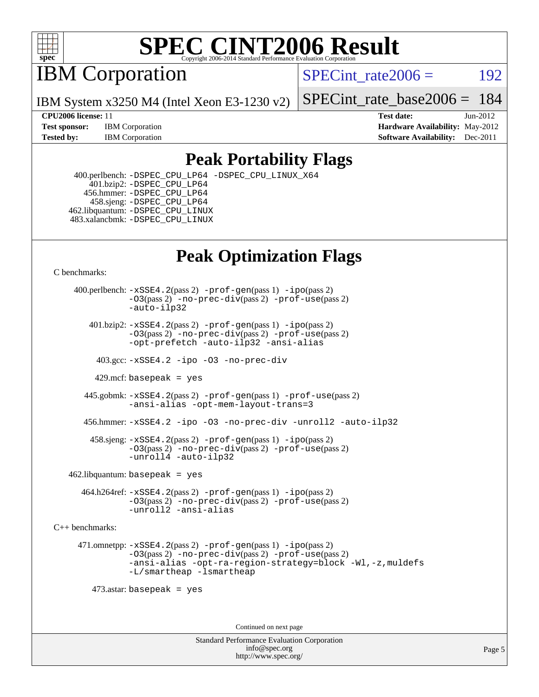

IBM Corporation

SPECint rate $2006 = 192$ 

[SPECint\\_rate\\_base2006 =](http://www.spec.org/auto/cpu2006/Docs/result-fields.html#SPECintratebase2006) 184

**[CPU2006 license:](http://www.spec.org/auto/cpu2006/Docs/result-fields.html#CPU2006license)** 11 **[Test date:](http://www.spec.org/auto/cpu2006/Docs/result-fields.html#Testdate)** Jun-2012 **[Test sponsor:](http://www.spec.org/auto/cpu2006/Docs/result-fields.html#Testsponsor)** IBM Corporation **[Hardware Availability:](http://www.spec.org/auto/cpu2006/Docs/result-fields.html#HardwareAvailability)** May-2012 **[Tested by:](http://www.spec.org/auto/cpu2006/Docs/result-fields.html#Testedby)** IBM Corporation **[Software Availability:](http://www.spec.org/auto/cpu2006/Docs/result-fields.html#SoftwareAvailability)** Dec-2011

### **[Peak Portability Flags](http://www.spec.org/auto/cpu2006/Docs/result-fields.html#PeakPortabilityFlags)**

 400.perlbench: [-DSPEC\\_CPU\\_LP64](http://www.spec.org/cpu2006/results/res2012q3/cpu2006-20120702-23321.flags.html#b400.perlbench_peakCPORTABILITY_DSPEC_CPU_LP64) [-DSPEC\\_CPU\\_LINUX\\_X64](http://www.spec.org/cpu2006/results/res2012q3/cpu2006-20120702-23321.flags.html#b400.perlbench_peakCPORTABILITY_DSPEC_CPU_LINUX_X64) 401.bzip2: [-DSPEC\\_CPU\\_LP64](http://www.spec.org/cpu2006/results/res2012q3/cpu2006-20120702-23321.flags.html#suite_peakCPORTABILITY401_bzip2_DSPEC_CPU_LP64) 456.hmmer: [-DSPEC\\_CPU\\_LP64](http://www.spec.org/cpu2006/results/res2012q3/cpu2006-20120702-23321.flags.html#suite_peakCPORTABILITY456_hmmer_DSPEC_CPU_LP64) 458.sjeng: [-DSPEC\\_CPU\\_LP64](http://www.spec.org/cpu2006/results/res2012q3/cpu2006-20120702-23321.flags.html#suite_peakCPORTABILITY458_sjeng_DSPEC_CPU_LP64) 462.libquantum: [-DSPEC\\_CPU\\_LINUX](http://www.spec.org/cpu2006/results/res2012q3/cpu2006-20120702-23321.flags.html#b462.libquantum_peakCPORTABILITY_DSPEC_CPU_LINUX) 483.xalancbmk: [-DSPEC\\_CPU\\_LINUX](http://www.spec.org/cpu2006/results/res2012q3/cpu2006-20120702-23321.flags.html#b483.xalancbmk_peakCXXPORTABILITY_DSPEC_CPU_LINUX)

IBM System x3250 M4 (Intel Xeon E3-1230 v2)

## **[Peak Optimization Flags](http://www.spec.org/auto/cpu2006/Docs/result-fields.html#PeakOptimizationFlags)**

[C benchmarks](http://www.spec.org/auto/cpu2006/Docs/result-fields.html#Cbenchmarks):

 400.perlbench: [-xSSE4.2](http://www.spec.org/cpu2006/results/res2012q3/cpu2006-20120702-23321.flags.html#user_peakPASS2_CFLAGSPASS2_LDCFLAGS400_perlbench_f-xSSE42_f91528193cf0b216347adb8b939d4107)(pass 2) [-prof-gen](http://www.spec.org/cpu2006/results/res2012q3/cpu2006-20120702-23321.flags.html#user_peakPASS1_CFLAGSPASS1_LDCFLAGS400_perlbench_prof_gen_e43856698f6ca7b7e442dfd80e94a8fc)(pass 1) [-ipo](http://www.spec.org/cpu2006/results/res2012q3/cpu2006-20120702-23321.flags.html#user_peakPASS2_CFLAGSPASS2_LDCFLAGS400_perlbench_f-ipo)(pass 2) [-O3](http://www.spec.org/cpu2006/results/res2012q3/cpu2006-20120702-23321.flags.html#user_peakPASS2_CFLAGSPASS2_LDCFLAGS400_perlbench_f-O3)(pass 2) [-no-prec-div](http://www.spec.org/cpu2006/results/res2012q3/cpu2006-20120702-23321.flags.html#user_peakPASS2_CFLAGSPASS2_LDCFLAGS400_perlbench_f-no-prec-div)(pass 2) [-prof-use](http://www.spec.org/cpu2006/results/res2012q3/cpu2006-20120702-23321.flags.html#user_peakPASS2_CFLAGSPASS2_LDCFLAGS400_perlbench_prof_use_bccf7792157ff70d64e32fe3e1250b55)(pass 2) [-auto-ilp32](http://www.spec.org/cpu2006/results/res2012q3/cpu2006-20120702-23321.flags.html#user_peakCOPTIMIZE400_perlbench_f-auto-ilp32)  $401.bzip2: -xSSE4.2(pass 2) -prof-qen(pass 1) -ipo(pass 2)$  $401.bzip2: -xSSE4.2(pass 2) -prof-qen(pass 1) -ipo(pass 2)$  $401.bzip2: -xSSE4.2(pass 2) -prof-qen(pass 1) -ipo(pass 2)$  $401.bzip2: -xSSE4.2(pass 2) -prof-qen(pass 1) -ipo(pass 2)$  $401.bzip2: -xSSE4.2(pass 2) -prof-qen(pass 1) -ipo(pass 2)$ [-O3](http://www.spec.org/cpu2006/results/res2012q3/cpu2006-20120702-23321.flags.html#user_peakPASS2_CFLAGSPASS2_LDCFLAGS401_bzip2_f-O3)(pass 2) [-no-prec-div](http://www.spec.org/cpu2006/results/res2012q3/cpu2006-20120702-23321.flags.html#user_peakPASS2_CFLAGSPASS2_LDCFLAGS401_bzip2_f-no-prec-div)(pass 2) [-prof-use](http://www.spec.org/cpu2006/results/res2012q3/cpu2006-20120702-23321.flags.html#user_peakPASS2_CFLAGSPASS2_LDCFLAGS401_bzip2_prof_use_bccf7792157ff70d64e32fe3e1250b55)(pass 2) [-opt-prefetch](http://www.spec.org/cpu2006/results/res2012q3/cpu2006-20120702-23321.flags.html#user_peakCOPTIMIZE401_bzip2_f-opt-prefetch) [-auto-ilp32](http://www.spec.org/cpu2006/results/res2012q3/cpu2006-20120702-23321.flags.html#user_peakCOPTIMIZE401_bzip2_f-auto-ilp32) [-ansi-alias](http://www.spec.org/cpu2006/results/res2012q3/cpu2006-20120702-23321.flags.html#user_peakCOPTIMIZE401_bzip2_f-ansi-alias) 403.gcc: [-xSSE4.2](http://www.spec.org/cpu2006/results/res2012q3/cpu2006-20120702-23321.flags.html#user_peakCOPTIMIZE403_gcc_f-xSSE42_f91528193cf0b216347adb8b939d4107) [-ipo](http://www.spec.org/cpu2006/results/res2012q3/cpu2006-20120702-23321.flags.html#user_peakCOPTIMIZE403_gcc_f-ipo) [-O3](http://www.spec.org/cpu2006/results/res2012q3/cpu2006-20120702-23321.flags.html#user_peakCOPTIMIZE403_gcc_f-O3) [-no-prec-div](http://www.spec.org/cpu2006/results/res2012q3/cpu2006-20120702-23321.flags.html#user_peakCOPTIMIZE403_gcc_f-no-prec-div) 429.mcf: basepeak = yes 445.gobmk: [-xSSE4.2](http://www.spec.org/cpu2006/results/res2012q3/cpu2006-20120702-23321.flags.html#user_peakPASS2_CFLAGSPASS2_LDCFLAGS445_gobmk_f-xSSE42_f91528193cf0b216347adb8b939d4107)(pass 2) [-prof-gen](http://www.spec.org/cpu2006/results/res2012q3/cpu2006-20120702-23321.flags.html#user_peakPASS1_CFLAGSPASS1_LDCFLAGS445_gobmk_prof_gen_e43856698f6ca7b7e442dfd80e94a8fc)(pass 1) [-prof-use](http://www.spec.org/cpu2006/results/res2012q3/cpu2006-20120702-23321.flags.html#user_peakPASS2_CFLAGSPASS2_LDCFLAGS445_gobmk_prof_use_bccf7792157ff70d64e32fe3e1250b55)(pass 2) [-ansi-alias](http://www.spec.org/cpu2006/results/res2012q3/cpu2006-20120702-23321.flags.html#user_peakCOPTIMIZE445_gobmk_f-ansi-alias) [-opt-mem-layout-trans=3](http://www.spec.org/cpu2006/results/res2012q3/cpu2006-20120702-23321.flags.html#user_peakCOPTIMIZE445_gobmk_f-opt-mem-layout-trans_a7b82ad4bd7abf52556d4961a2ae94d5) 456.hmmer: [-xSSE4.2](http://www.spec.org/cpu2006/results/res2012q3/cpu2006-20120702-23321.flags.html#user_peakCOPTIMIZE456_hmmer_f-xSSE42_f91528193cf0b216347adb8b939d4107) [-ipo](http://www.spec.org/cpu2006/results/res2012q3/cpu2006-20120702-23321.flags.html#user_peakCOPTIMIZE456_hmmer_f-ipo) [-O3](http://www.spec.org/cpu2006/results/res2012q3/cpu2006-20120702-23321.flags.html#user_peakCOPTIMIZE456_hmmer_f-O3) [-no-prec-div](http://www.spec.org/cpu2006/results/res2012q3/cpu2006-20120702-23321.flags.html#user_peakCOPTIMIZE456_hmmer_f-no-prec-div) [-unroll2](http://www.spec.org/cpu2006/results/res2012q3/cpu2006-20120702-23321.flags.html#user_peakCOPTIMIZE456_hmmer_f-unroll_784dae83bebfb236979b41d2422d7ec2) [-auto-ilp32](http://www.spec.org/cpu2006/results/res2012q3/cpu2006-20120702-23321.flags.html#user_peakCOPTIMIZE456_hmmer_f-auto-ilp32) 458.sjeng: [-xSSE4.2](http://www.spec.org/cpu2006/results/res2012q3/cpu2006-20120702-23321.flags.html#user_peakPASS2_CFLAGSPASS2_LDCFLAGS458_sjeng_f-xSSE42_f91528193cf0b216347adb8b939d4107)(pass 2) [-prof-gen](http://www.spec.org/cpu2006/results/res2012q3/cpu2006-20120702-23321.flags.html#user_peakPASS1_CFLAGSPASS1_LDCFLAGS458_sjeng_prof_gen_e43856698f6ca7b7e442dfd80e94a8fc)(pass 1) [-ipo](http://www.spec.org/cpu2006/results/res2012q3/cpu2006-20120702-23321.flags.html#user_peakPASS2_CFLAGSPASS2_LDCFLAGS458_sjeng_f-ipo)(pass 2) [-O3](http://www.spec.org/cpu2006/results/res2012q3/cpu2006-20120702-23321.flags.html#user_peakPASS2_CFLAGSPASS2_LDCFLAGS458_sjeng_f-O3)(pass 2) [-no-prec-div](http://www.spec.org/cpu2006/results/res2012q3/cpu2006-20120702-23321.flags.html#user_peakPASS2_CFLAGSPASS2_LDCFLAGS458_sjeng_f-no-prec-div)(pass 2) [-prof-use](http://www.spec.org/cpu2006/results/res2012q3/cpu2006-20120702-23321.flags.html#user_peakPASS2_CFLAGSPASS2_LDCFLAGS458_sjeng_prof_use_bccf7792157ff70d64e32fe3e1250b55)(pass 2) [-unroll4](http://www.spec.org/cpu2006/results/res2012q3/cpu2006-20120702-23321.flags.html#user_peakCOPTIMIZE458_sjeng_f-unroll_4e5e4ed65b7fd20bdcd365bec371b81f) [-auto-ilp32](http://www.spec.org/cpu2006/results/res2012q3/cpu2006-20120702-23321.flags.html#user_peakCOPTIMIZE458_sjeng_f-auto-ilp32)  $462$ .libquantum: basepeak = yes 464.h264ref: [-xSSE4.2](http://www.spec.org/cpu2006/results/res2012q3/cpu2006-20120702-23321.flags.html#user_peakPASS2_CFLAGSPASS2_LDCFLAGS464_h264ref_f-xSSE42_f91528193cf0b216347adb8b939d4107)(pass 2) [-prof-gen](http://www.spec.org/cpu2006/results/res2012q3/cpu2006-20120702-23321.flags.html#user_peakPASS1_CFLAGSPASS1_LDCFLAGS464_h264ref_prof_gen_e43856698f6ca7b7e442dfd80e94a8fc)(pass 1) [-ipo](http://www.spec.org/cpu2006/results/res2012q3/cpu2006-20120702-23321.flags.html#user_peakPASS2_CFLAGSPASS2_LDCFLAGS464_h264ref_f-ipo)(pass 2) [-O3](http://www.spec.org/cpu2006/results/res2012q3/cpu2006-20120702-23321.flags.html#user_peakPASS2_CFLAGSPASS2_LDCFLAGS464_h264ref_f-O3)(pass 2) [-no-prec-div](http://www.spec.org/cpu2006/results/res2012q3/cpu2006-20120702-23321.flags.html#user_peakPASS2_CFLAGSPASS2_LDCFLAGS464_h264ref_f-no-prec-div)(pass 2) [-prof-use](http://www.spec.org/cpu2006/results/res2012q3/cpu2006-20120702-23321.flags.html#user_peakPASS2_CFLAGSPASS2_LDCFLAGS464_h264ref_prof_use_bccf7792157ff70d64e32fe3e1250b55)(pass 2) [-unroll2](http://www.spec.org/cpu2006/results/res2012q3/cpu2006-20120702-23321.flags.html#user_peakCOPTIMIZE464_h264ref_f-unroll_784dae83bebfb236979b41d2422d7ec2) [-ansi-alias](http://www.spec.org/cpu2006/results/res2012q3/cpu2006-20120702-23321.flags.html#user_peakCOPTIMIZE464_h264ref_f-ansi-alias) [C++ benchmarks:](http://www.spec.org/auto/cpu2006/Docs/result-fields.html#CXXbenchmarks) 471.omnetpp: [-xSSE4.2](http://www.spec.org/cpu2006/results/res2012q3/cpu2006-20120702-23321.flags.html#user_peakPASS2_CXXFLAGSPASS2_LDCXXFLAGS471_omnetpp_f-xSSE42_f91528193cf0b216347adb8b939d4107)(pass 2) [-prof-gen](http://www.spec.org/cpu2006/results/res2012q3/cpu2006-20120702-23321.flags.html#user_peakPASS1_CXXFLAGSPASS1_LDCXXFLAGS471_omnetpp_prof_gen_e43856698f6ca7b7e442dfd80e94a8fc)(pass 1) [-ipo](http://www.spec.org/cpu2006/results/res2012q3/cpu2006-20120702-23321.flags.html#user_peakPASS2_CXXFLAGSPASS2_LDCXXFLAGS471_omnetpp_f-ipo)(pass 2) [-O3](http://www.spec.org/cpu2006/results/res2012q3/cpu2006-20120702-23321.flags.html#user_peakPASS2_CXXFLAGSPASS2_LDCXXFLAGS471_omnetpp_f-O3)(pass 2) [-no-prec-div](http://www.spec.org/cpu2006/results/res2012q3/cpu2006-20120702-23321.flags.html#user_peakPASS2_CXXFLAGSPASS2_LDCXXFLAGS471_omnetpp_f-no-prec-div)(pass 2) [-prof-use](http://www.spec.org/cpu2006/results/res2012q3/cpu2006-20120702-23321.flags.html#user_peakPASS2_CXXFLAGSPASS2_LDCXXFLAGS471_omnetpp_prof_use_bccf7792157ff70d64e32fe3e1250b55)(pass 2) [-ansi-alias](http://www.spec.org/cpu2006/results/res2012q3/cpu2006-20120702-23321.flags.html#user_peakCXXOPTIMIZE471_omnetpp_f-ansi-alias) [-opt-ra-region-strategy=block](http://www.spec.org/cpu2006/results/res2012q3/cpu2006-20120702-23321.flags.html#user_peakCXXOPTIMIZE471_omnetpp_f-opt-ra-region-strategy_a0a37c372d03933b2a18d4af463c1f69) [-Wl,-z,muldefs](http://www.spec.org/cpu2006/results/res2012q3/cpu2006-20120702-23321.flags.html#user_peakEXTRA_LDFLAGS471_omnetpp_link_force_multiple1_74079c344b956b9658436fd1b6dd3a8a) [-L/smartheap -lsmartheap](http://www.spec.org/cpu2006/results/res2012q3/cpu2006-20120702-23321.flags.html#user_peakEXTRA_LIBS471_omnetpp_SmartHeap_7c9e394a5779e1a7fec7c221e123830c) 473.astar: basepeak = yes

Continued on next page